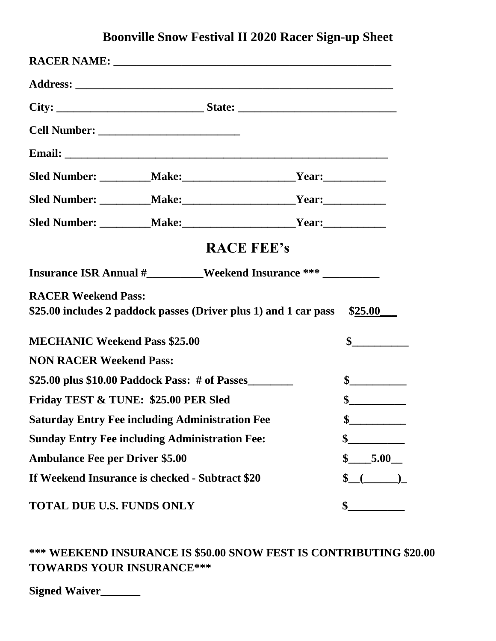## **Boonville Snow Festival II 2020 Racer Sign-up Sheet**

|                                                        |                                                                  | <b>RACE FEE's</b>                                                                 |  |
|--------------------------------------------------------|------------------------------------------------------------------|-----------------------------------------------------------------------------------|--|
|                                                        |                                                                  | Insurance ISR Annual #_________Weekend Insurance *** ____________________________ |  |
| <b>RACER Weekend Pass:</b>                             | \$25.00 includes 2 paddock passes (Driver plus 1) and 1 car pass | \$25.00                                                                           |  |
| <b>MECHANIC Weekend Pass \$25.00</b>                   | $\frac{1}{2}$                                                    |                                                                                   |  |
| <b>NON RACER Weekend Pass:</b>                         |                                                                  |                                                                                   |  |
| \$25.00 plus \$10.00 Paddock Pass: $\#$ of Passes      | $\frac{1}{2}$                                                    |                                                                                   |  |
| Friday TEST & TUNE: \$25.00 PER Sled                   | $\frac{1}{2}$                                                    |                                                                                   |  |
| <b>Saturday Entry Fee including Administration Fee</b> | P                                                                |                                                                                   |  |
| <b>Sunday Entry Fee including Administration Fee:</b>  | \$                                                               |                                                                                   |  |
| <b>Ambulance Fee per Driver \$5.00</b>                 | \$<br>.5.00                                                      |                                                                                   |  |
| If Weekend Insurance is checked - Subtract \$20        | \$                                                               |                                                                                   |  |
| TOTAL DUE U.S. FUNDS ONLY                              | \$                                                               |                                                                                   |  |

## **\*\*\* WEEKEND INSURANCE IS \$50.00 SNOW FEST IS CONTRIBUTING \$20.00 TOWARDS YOUR INSURANCE\*\*\***

**Signed Waiver\_\_\_\_\_\_\_**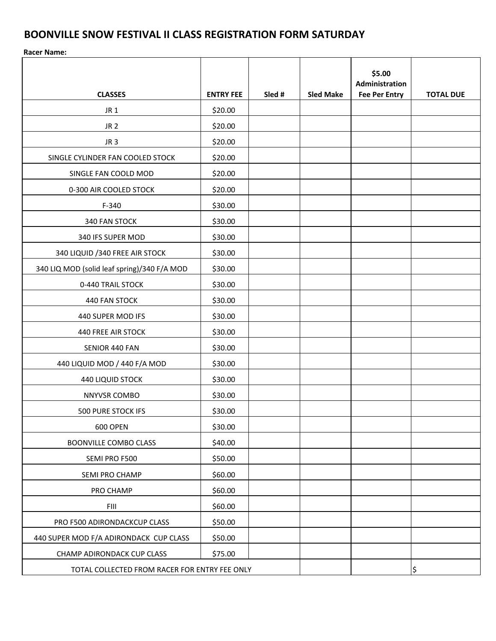## **BOONVILLE SNOW FESTIVAL II CLASS REGISTRATION FORM SATURDAY**

**Racer Name:** 

| <b>CLASSES</b>                                | <b>ENTRY FEE</b> | Sled # | <b>Sled Make</b> | \$5.00<br>Administration<br><b>Fee Per Entry</b> | <b>TOTAL DUE</b> |
|-----------------------------------------------|------------------|--------|------------------|--------------------------------------------------|------------------|
| JR <sub>1</sub>                               | \$20.00          |        |                  |                                                  |                  |
| JR <sub>2</sub>                               | \$20.00          |        |                  |                                                  |                  |
| JR <sub>3</sub>                               | \$20.00          |        |                  |                                                  |                  |
| SINGLE CYLINDER FAN COOLED STOCK              | \$20.00          |        |                  |                                                  |                  |
| SINGLE FAN COOLD MOD                          | \$20.00          |        |                  |                                                  |                  |
| 0-300 AIR COOLED STOCK                        | \$20.00          |        |                  |                                                  |                  |
| $F-340$                                       | \$30.00          |        |                  |                                                  |                  |
| 340 FAN STOCK                                 | \$30.00          |        |                  |                                                  |                  |
| 340 IFS SUPER MOD                             | \$30.00          |        |                  |                                                  |                  |
| 340 LIQUID / 340 FREE AIR STOCK               | \$30.00          |        |                  |                                                  |                  |
| 340 LIQ MOD (solid leaf spring)/340 F/A MOD   | \$30.00          |        |                  |                                                  |                  |
| 0-440 TRAIL STOCK                             | \$30.00          |        |                  |                                                  |                  |
| 440 FAN STOCK                                 | \$30.00          |        |                  |                                                  |                  |
| 440 SUPER MOD IFS                             | \$30.00          |        |                  |                                                  |                  |
| 440 FREE AIR STOCK                            | \$30.00          |        |                  |                                                  |                  |
| SENIOR 440 FAN                                | \$30.00          |        |                  |                                                  |                  |
| 440 LIQUID MOD / 440 F/A MOD                  | \$30.00          |        |                  |                                                  |                  |
| <b>440 LIQUID STOCK</b>                       | \$30.00          |        |                  |                                                  |                  |
| NNYVSR COMBO                                  | \$30.00          |        |                  |                                                  |                  |
| <b>500 PURE STOCK IFS</b>                     | \$30.00          |        |                  |                                                  |                  |
| <b>600 OPEN</b>                               | \$30.00          |        |                  |                                                  |                  |
| <b>BOONVILLE COMBO CLASS</b>                  | \$40.00          |        |                  |                                                  |                  |
| SEMI PRO F500                                 | \$50.00          |        |                  |                                                  |                  |
| SEMI PRO CHAMP                                | \$60.00          |        |                  |                                                  |                  |
| PRO CHAMP                                     | \$60.00          |        |                  |                                                  |                  |
| FIII                                          | \$60.00          |        |                  |                                                  |                  |
| PRO F500 ADIRONDACKCUP CLASS                  | \$50.00          |        |                  |                                                  |                  |
| 440 SUPER MOD F/A ADIRONDACK CUP CLASS        | \$50.00          |        |                  |                                                  |                  |
| CHAMP ADIRONDACK CUP CLASS                    | \$75.00          |        |                  |                                                  |                  |
| TOTAL COLLECTED FROM RACER FOR ENTRY FEE ONLY |                  |        |                  |                                                  | \$               |